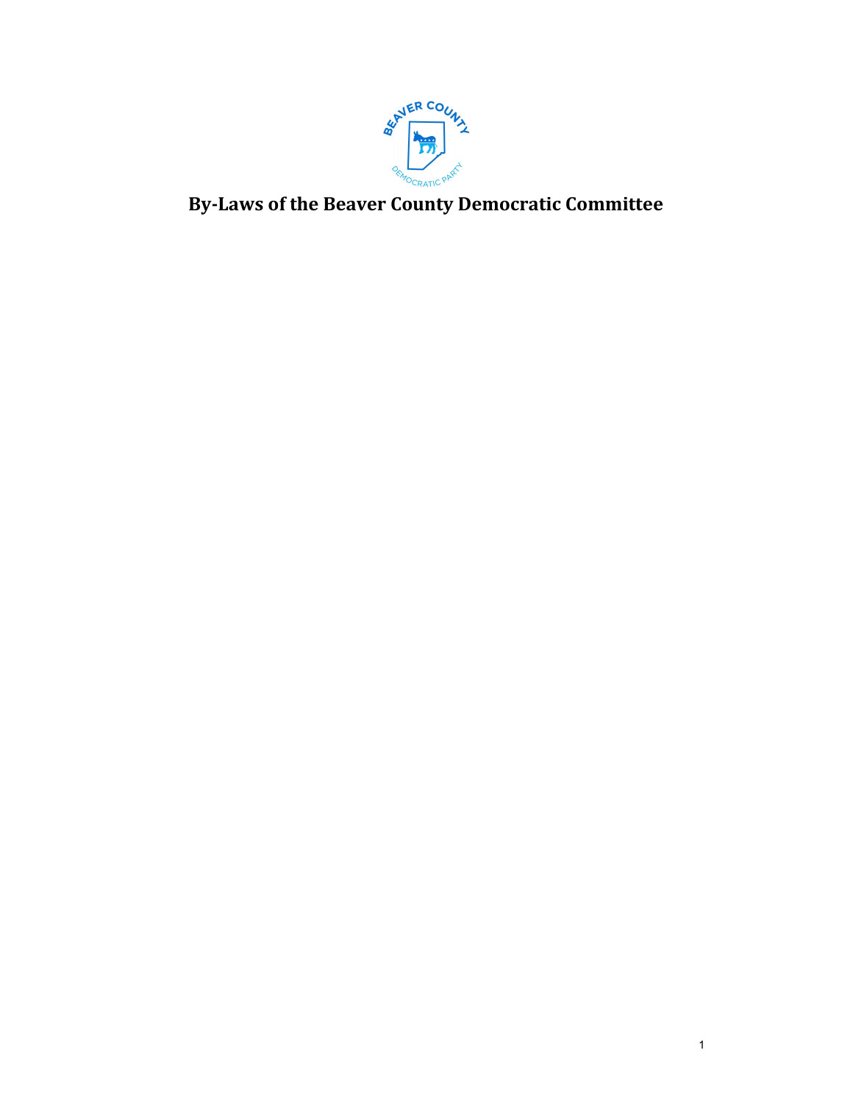

By-Laws of the Beaver County Democratic Committee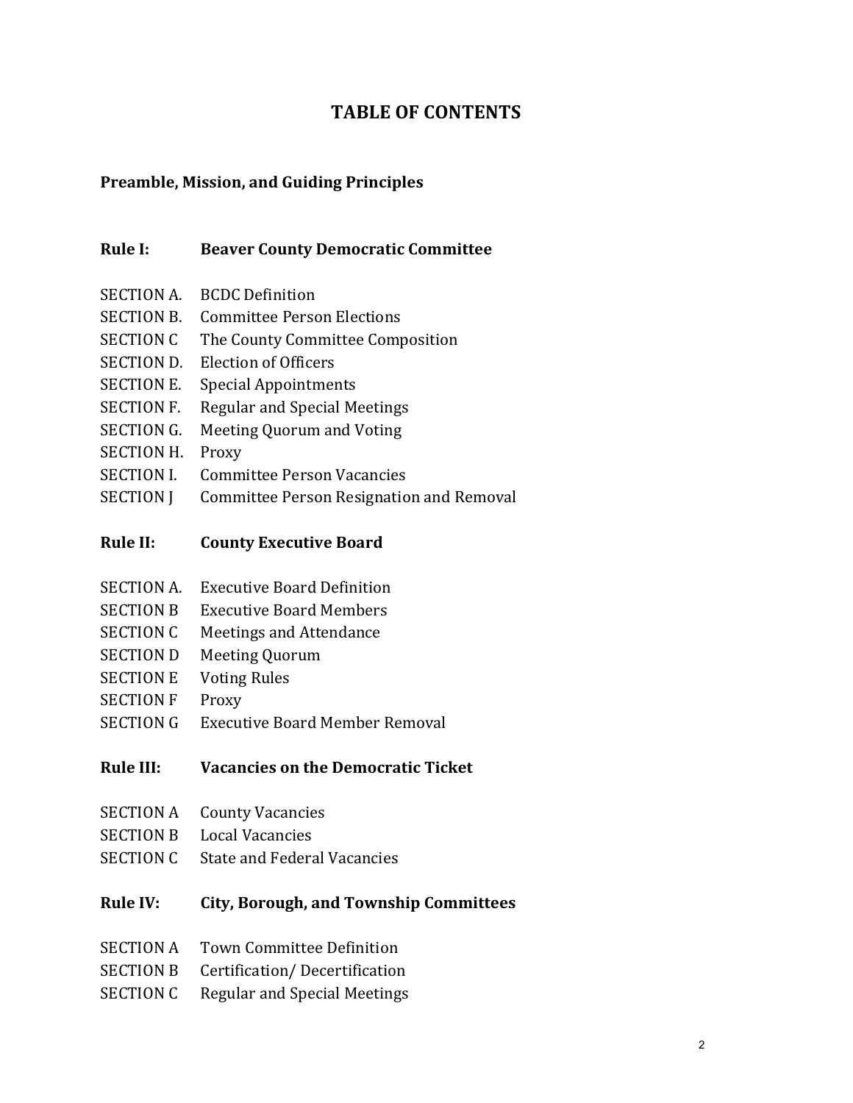# TABLE OF CONTENTS

#### Preamble, Mission, and Guiding Principles

#### Rule I: Beaver County Democratic Committee

- SECTION A. BCDC Definition
- SECTION B. Committee Person Elections
- SECTION C The County Committee Composition
- SECTION D. Election of Officers
- SECTION E. Special Appointments
- SECTION F. Regular and Special Meetings
- SECTION G. Meeting Quorum and Voting
- SECTION H. Proxy
- SECTION I. Committee Person Vacancies
- SECTION J Committee Person Resignation and Removal

#### Rule II: County Executive Board

- SECTION A. Executive Board Definition
- SECTION B Executive Board Members
- SECTION C Meetings and Attendance
- SECTION D Meeting Quorum
- SECTION E Voting Rules
- SECTION F Proxy
- SECTION G Executive Board Member Removal

## Rule III: Vacancies on the Democratic Ticket

- SECTION A County Vacancies
- SECTION B Local Vacancies
- SECTION C State and Federal Vacancies

#### Rule IV: City, Borough, and Township Committees

- SECTION A Town Committee Definition
- SECTION B Certification/ Decertification
- SECTION C Regular and Special Meetings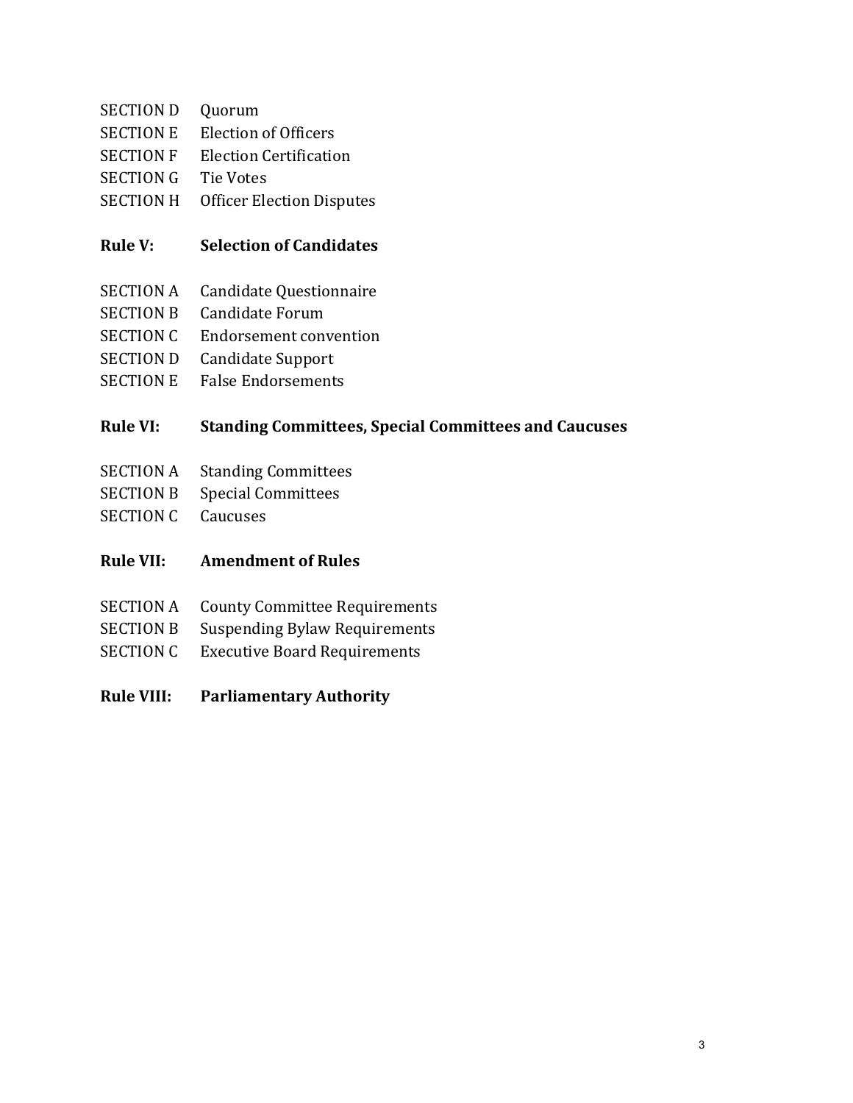- SECTION D Quorum
- SECTION E Election of Officers
- SECTION F Election Certification
- SECTION G Tie Votes
- SECTION H Officer Election Disputes

#### Rule V: Selection of Candidates

- SECTION A Candidate Questionnaire
- SECTION B Candidate Forum
- SECTION C Endorsement convention
- SECTION D Candidate Support
- SECTION E False Endorsements

#### Rule VI: Standing Committees, Special Committees and Caucuses

- SECTION A Standing Committees
- SECTION B Special Committees
- SECTION C Caucuses
- Rule VII: Amendment of Rules
- SECTION A County Committee Requirements
- SECTION B Suspending Bylaw Requirements
- SECTION C Executive Board Requirements
- Rule VIII: Parliamentary Authority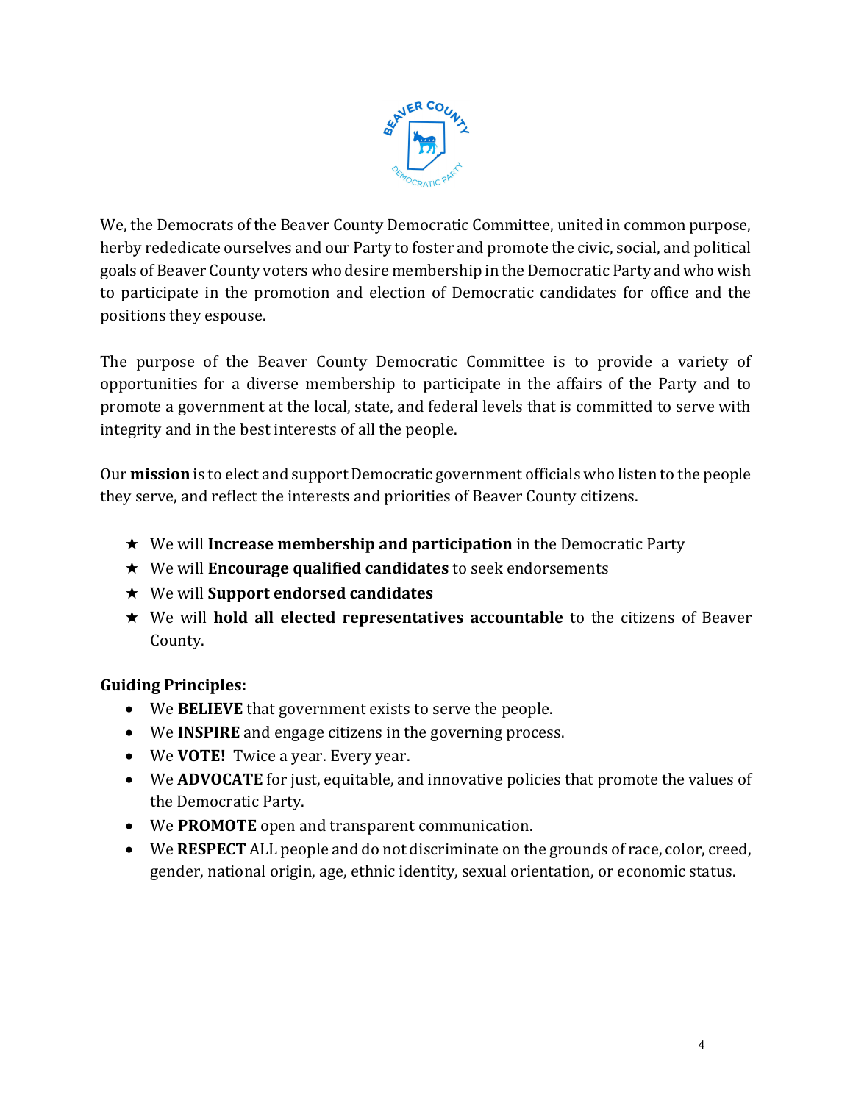

We, the Democrats of the Beaver County Democratic Committee, united in common purpose, herby rededicate ourselves and our Party to foster and promote the civic, social, and political goals of Beaver County voters who desire membership in the Democratic Party and who wish to participate in the promotion and election of Democratic candidates for office and the positions they espouse.

The purpose of the Beaver County Democratic Committee is to provide a variety of opportunities for a diverse membership to participate in the affairs of the Party and to promote a government at the local, state, and federal levels that is committed to serve with integrity and in the best interests of all the people.

Our mission is to elect and support Democratic government officials who listen to the people they serve, and reflect the interests and priorities of Beaver County citizens.

- $\star$  We will **Increase membership and participation** in the Democratic Party
- $\star$  We will **Encourage qualified candidates** to seek endorsements
- $\star$  We will Support endorsed candidates
- $\star$  We will hold all elected representatives accountable to the citizens of Beaver County.

## Guiding Principles:

- We BELIEVE that government exists to serve the people.
- We **INSPIRE** and engage citizens in the governing process.
- We **VOTE!** Twice a year. Every year.
- We ADVOCATE for just, equitable, and innovative policies that promote the values of the Democratic Party.
- We PROMOTE open and transparent communication.
- We RESPECT ALL people and do not discriminate on the grounds of race, color, creed, gender, national origin, age, ethnic identity, sexual orientation, or economic status.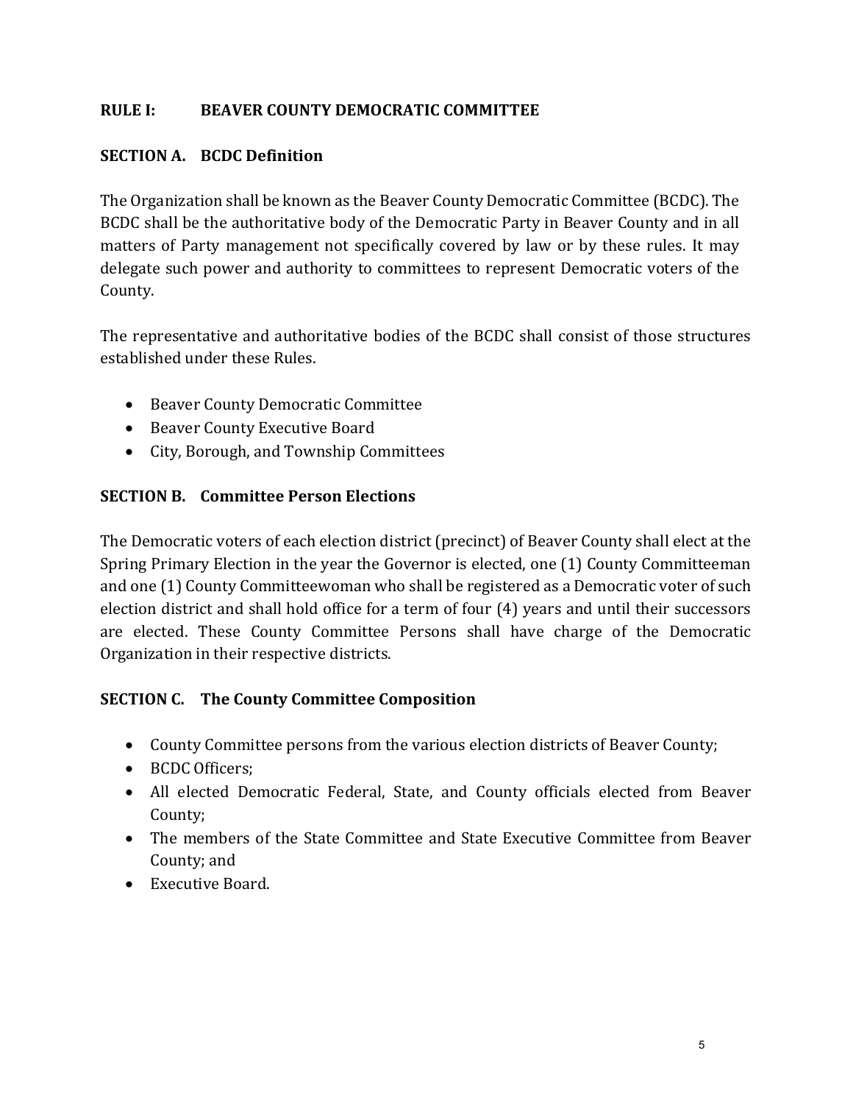## RULE I: BEAVER COUNTY DEMOCRATIC COMMITTEE

#### SECTION A. BCDC Definition

The Organization shall be known as the Beaver County Democratic Committee (BCDC). The BCDC shall be the authoritative body of the Democratic Party in Beaver County and in all matters of Party management not specifically covered by law or by these rules. It may delegate such power and authority to committees to represent Democratic voters of the County.

The representative and authoritative bodies of the BCDC shall consist of those structures established under these Rules.

- Beaver County Democratic Committee
- Beaver County Executive Board
- City, Borough, and Township Committees

#### SECTION B. Committee Person Elections

The Democratic voters of each election district (precinct) of Beaver County shall elect at the Spring Primary Election in the year the Governor is elected, one (1) County Committeeman and one (1) County Committeewoman who shall be registered as a Democratic voter of such election district and shall hold office for a term of four (4) years and until their successors are elected. These County Committee Persons shall have charge of the Democratic Organization in their respective districts.

#### SECTION C. The County Committee Composition

- County Committee persons from the various election districts of Beaver County;
- BCDC Officers:
- All elected Democratic Federal, State, and County officials elected from Beaver County;
- The members of the State Committee and State Executive Committee from Beaver County; and
- Executive Board.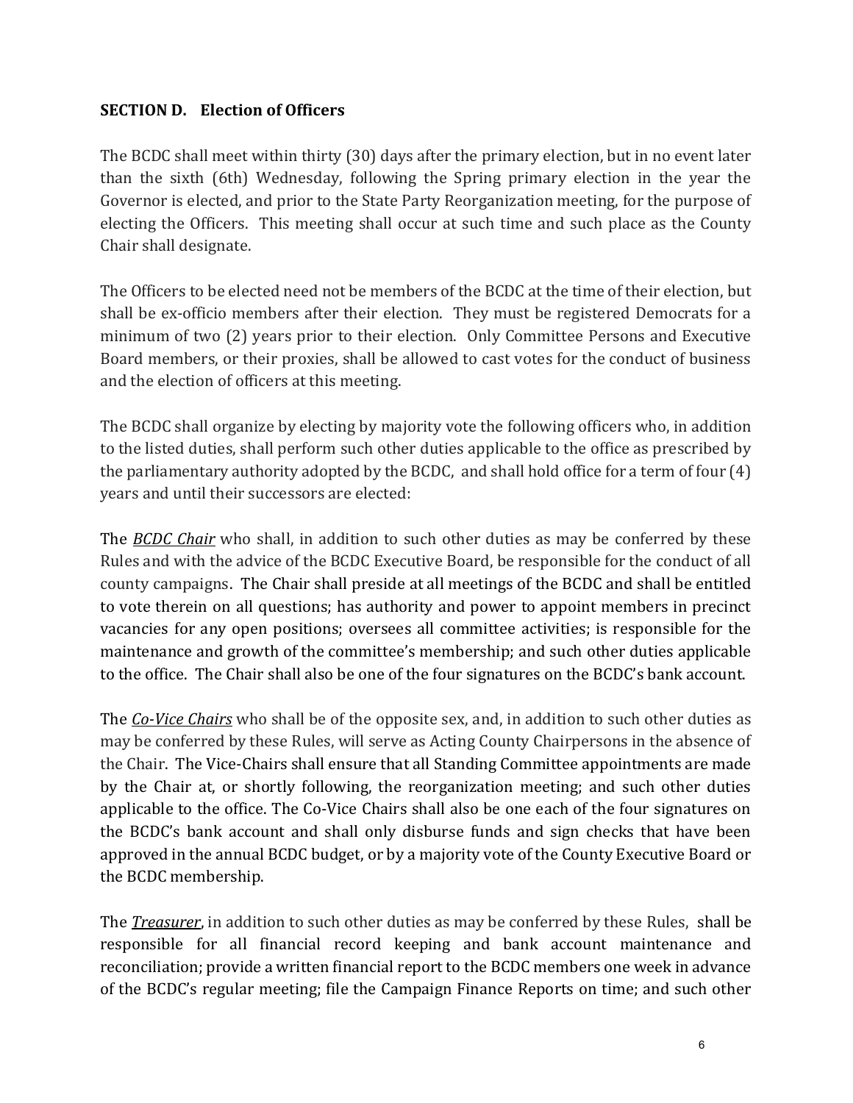## SECTION D. Election of Officers

The BCDC shall meet within thirty (30) days after the primary election, but in no event later than the sixth (6th) Wednesday, following the Spring primary election in the year the Governor is elected, and prior to the State Party Reorganization meeting, for the purpose of electing the Officers. This meeting shall occur at such time and such place as the County Chair shall designate.

The Officers to be elected need not be members of the BCDC at the time of their election, but shall be ex-officio members after their election. They must be registered Democrats for a minimum of two (2) years prior to their election. Only Committee Persons and Executive Board members, or their proxies, shall be allowed to cast votes for the conduct of business and the election of officers at this meeting.

The BCDC shall organize by electing by majority vote the following officers who, in addition to the listed duties, shall perform such other duties applicable to the office as prescribed by the parliamentary authority adopted by the BCDC, and shall hold office for a term of four (4) years and until their successors are elected:

The BCDC Chair who shall, in addition to such other duties as may be conferred by these Rules and with the advice of the BCDC Executive Board, be responsible for the conduct of all county campaigns. The Chair shall preside at all meetings of the BCDC and shall be entitled to vote therein on all questions; has authority and power to appoint members in precinct vacancies for any open positions; oversees all committee activities; is responsible for the maintenance and growth of the committee's membership; and such other duties applicable to the office. The Chair shall also be one of the four signatures on the BCDC's bank account.

The *Co-Vice Chairs* who shall be of the opposite sex, and, in addition to such other duties as may be conferred by these Rules, will serve as Acting County Chairpersons in the absence of the Chair. The Vice-Chairs shall ensure that all Standing Committee appointments are made by the Chair at, or shortly following, the reorganization meeting; and such other duties applicable to the office. The Co-Vice Chairs shall also be one each of the four signatures on the BCDC's bank account and shall only disburse funds and sign checks that have been approved in the annual BCDC budget, or by a majority vote of the County Executive Board or the BCDC membership.

The *Treasurer*, in addition to such other duties as may be conferred by these Rules, shall be responsible for all financial record keeping and bank account maintenance and reconciliation; provide a written financial report to the BCDC members one week in advance of the BCDC's regular meeting; file the Campaign Finance Reports on time; and such other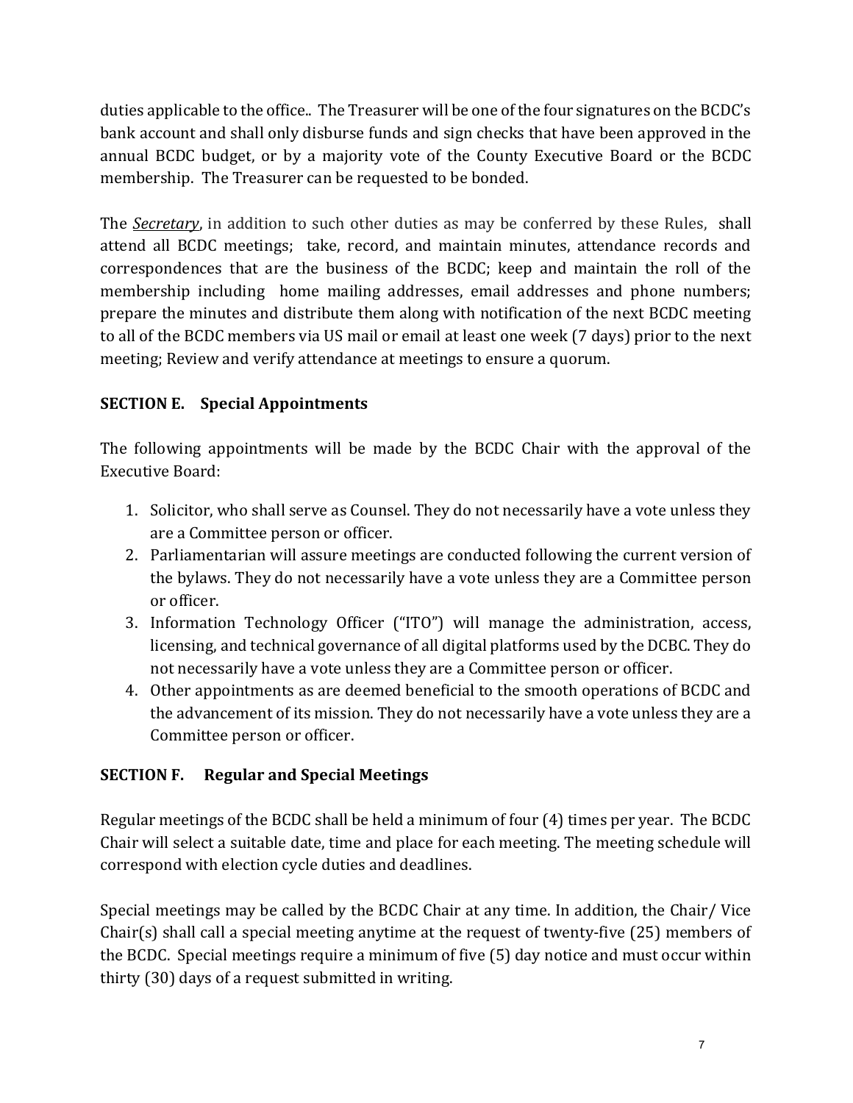duties applicable to the office.. The Treasurer will be one of the four signatures on the BCDC's bank account and shall only disburse funds and sign checks that have been approved in the annual BCDC budget, or by a majority vote of the County Executive Board or the BCDC membership. The Treasurer can be requested to be bonded.

The *Secretary*, in addition to such other duties as may be conferred by these Rules, shall attend all BCDC meetings; take, record, and maintain minutes, attendance records and correspondences that are the business of the BCDC; keep and maintain the roll of the membership including home mailing addresses, email addresses and phone numbers; prepare the minutes and distribute them along with notification of the next BCDC meeting to all of the BCDC members via US mail or email at least one week (7 days) prior to the next meeting; Review and verify attendance at meetings to ensure a quorum.

# SECTION E. Special Appointments

The following appointments will be made by the BCDC Chair with the approval of the Executive Board:

- 1. Solicitor, who shall serve as Counsel. They do not necessarily have a vote unless they are a Committee person or officer.
- 2. Parliamentarian will assure meetings are conducted following the current version of the bylaws. They do not necessarily have a vote unless they are a Committee person or officer.
- 3. Information Technology Officer ("ITO") will manage the administration, access, licensing, and technical governance of all digital platforms used by the DCBC. They do not necessarily have a vote unless they are a Committee person or officer.
- 4. Other appointments as are deemed beneficial to the smooth operations of BCDC and the advancement of its mission. They do not necessarily have a vote unless they are a Committee person or officer.

# SECTION F. Regular and Special Meetings

Regular meetings of the BCDC shall be held a minimum of four (4) times per year. The BCDC Chair will select a suitable date, time and place for each meeting. The meeting schedule will correspond with election cycle duties and deadlines.

Special meetings may be called by the BCDC Chair at any time. In addition, the Chair/ Vice Chair(s) shall call a special meeting anytime at the request of twenty-five (25) members of the BCDC. Special meetings require a minimum of five (5) day notice and must occur within thirty (30) days of a request submitted in writing.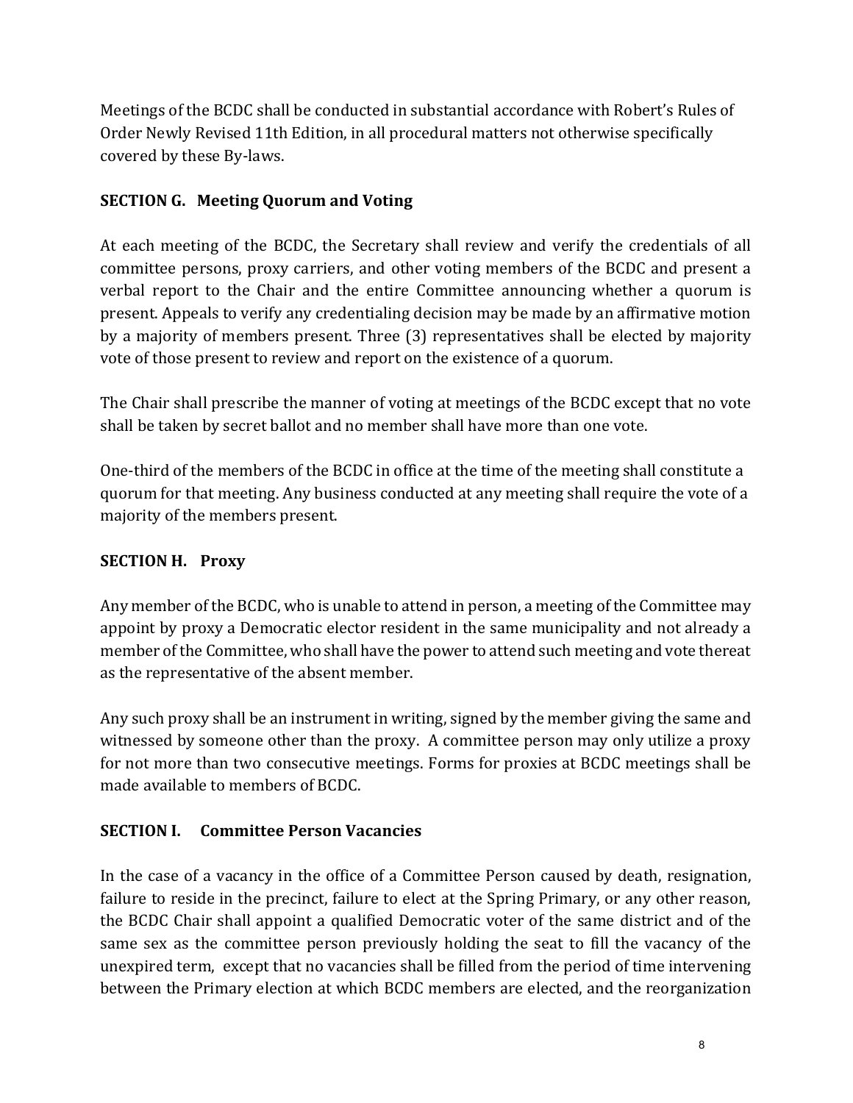Meetings of the BCDC shall be conducted in substantial accordance with Robert's Rules of Order Newly Revised 11th Edition, in all procedural matters not otherwise specifically covered by these By-laws.

# SECTION G. Meeting Quorum and Voting

At each meeting of the BCDC, the Secretary shall review and verify the credentials of all committee persons, proxy carriers, and other voting members of the BCDC and present a verbal report to the Chair and the entire Committee announcing whether a quorum is present. Appeals to verify any credentialing decision may be made by an affirmative motion by a majority of members present. Three (3) representatives shall be elected by majority vote of those present to review and report on the existence of a quorum.

The Chair shall prescribe the manner of voting at meetings of the BCDC except that no vote shall be taken by secret ballot and no member shall have more than one vote.

One-third of the members of the BCDC in office at the time of the meeting shall constitute a quorum for that meeting. Any business conducted at any meeting shall require the vote of a majority of the members present.

## SECTION H. Proxy

Any member of the BCDC, who is unable to attend in person, a meeting of the Committee may appoint by proxy a Democratic elector resident in the same municipality and not already a member of the Committee, who shall have the power to attend such meeting and vote thereat as the representative of the absent member.

Any such proxy shall be an instrument in writing, signed by the member giving the same and witnessed by someone other than the proxy. A committee person may only utilize a proxy for not more than two consecutive meetings. Forms for proxies at BCDC meetings shall be made available to members of BCDC.

# SECTION I. Committee Person Vacancies

In the case of a vacancy in the office of a Committee Person caused by death, resignation, failure to reside in the precinct, failure to elect at the Spring Primary, or any other reason, the BCDC Chair shall appoint a qualified Democratic voter of the same district and of the same sex as the committee person previously holding the seat to fill the vacancy of the unexpired term, except that no vacancies shall be filled from the period of time intervening between the Primary election at which BCDC members are elected, and the reorganization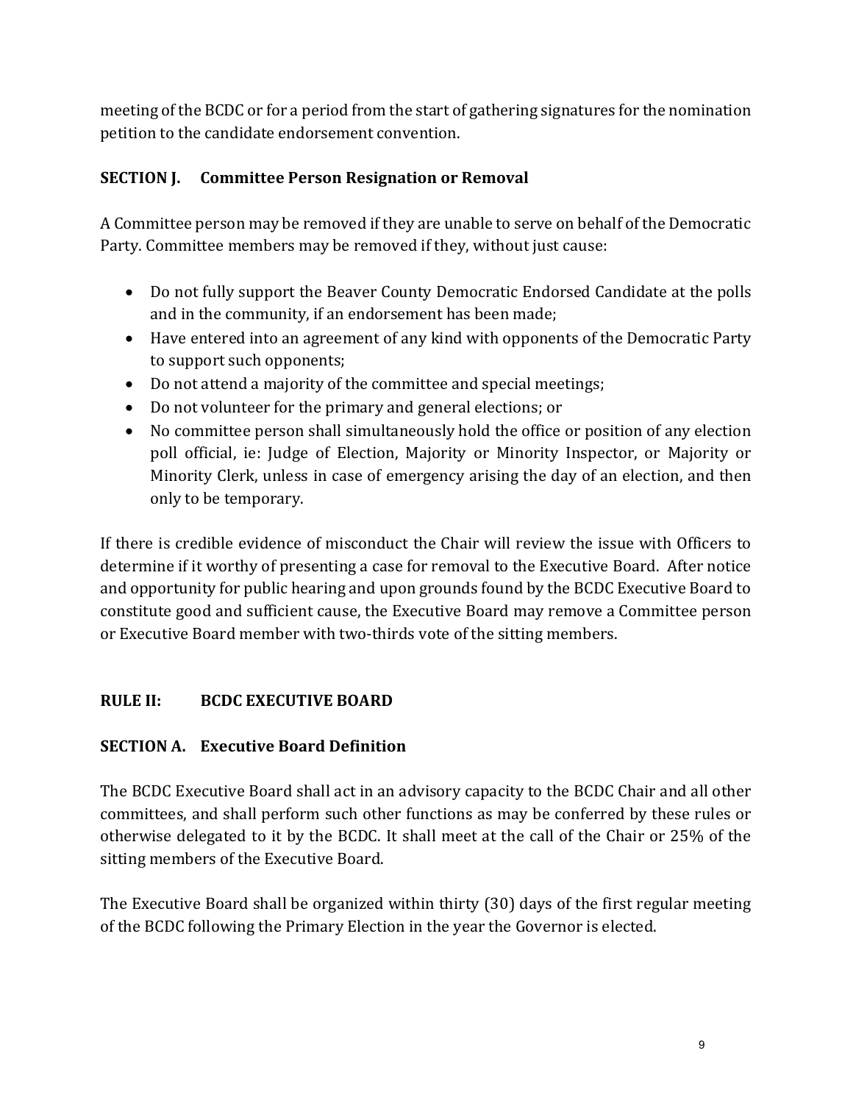meeting of the BCDC or for a period from the start of gathering signatures for the nomination petition to the candidate endorsement convention.

# SECTION J. Committee Person Resignation or Removal

A Committee person may be removed if they are unable to serve on behalf of the Democratic Party. Committee members may be removed if they, without just cause:

- Do not fully support the Beaver County Democratic Endorsed Candidate at the polls and in the community, if an endorsement has been made;
- Have entered into an agreement of any kind with opponents of the Democratic Party to support such opponents;
- Do not attend a majority of the committee and special meetings;
- Do not volunteer for the primary and general elections; or
- No committee person shall simultaneously hold the office or position of any election poll official, ie: Judge of Election, Majority or Minority Inspector, or Majority or Minority Clerk, unless in case of emergency arising the day of an election, and then only to be temporary.

If there is credible evidence of misconduct the Chair will review the issue with Officers to determine if it worthy of presenting a case for removal to the Executive Board. After notice and opportunity for public hearing and upon grounds found by the BCDC Executive Board to constitute good and sufficient cause, the Executive Board may remove a Committee person or Executive Board member with two-thirds vote of the sitting members.

# RULE II: BCDC EXECUTIVE BOARD

# SECTION A. Executive Board Definition

The BCDC Executive Board shall act in an advisory capacity to the BCDC Chair and all other committees, and shall perform such other functions as may be conferred by these rules or otherwise delegated to it by the BCDC. It shall meet at the call of the Chair or 25% of the sitting members of the Executive Board.

The Executive Board shall be organized within thirty (30) days of the first regular meeting of the BCDC following the Primary Election in the year the Governor is elected.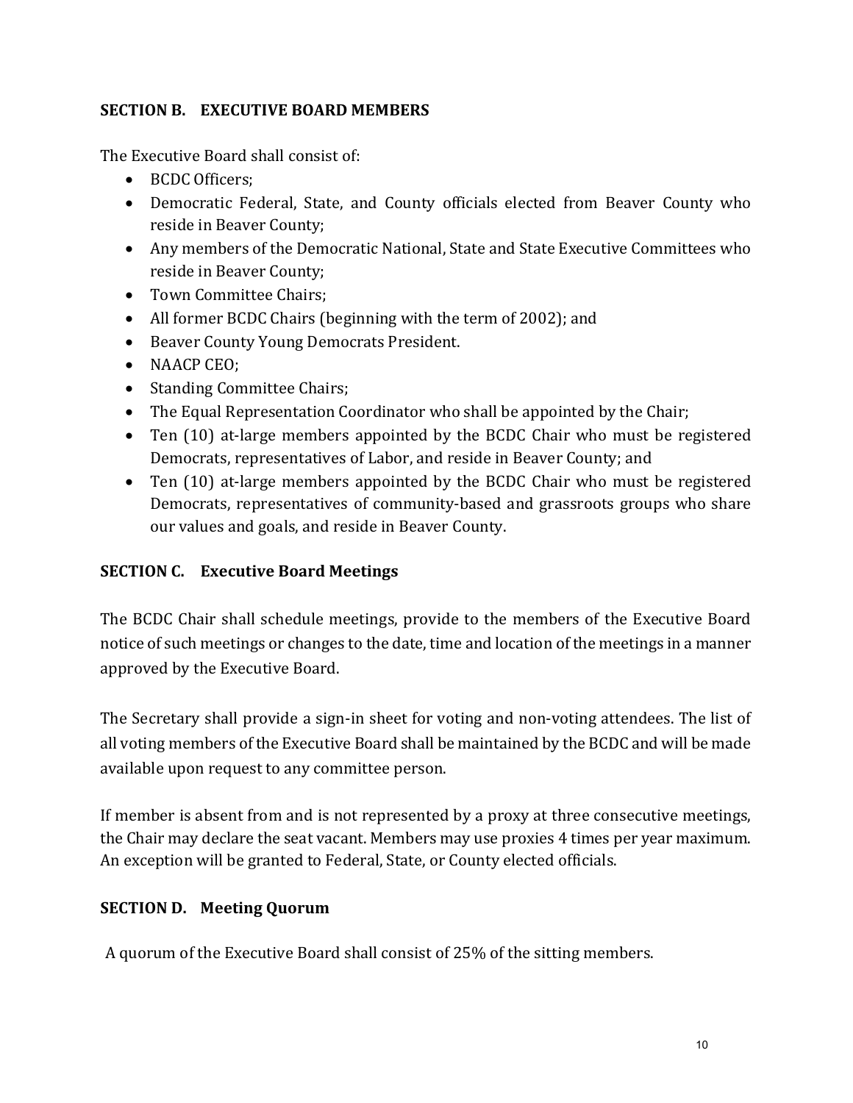## SECTION B. EXECUTIVE BOARD MEMBERS

The Executive Board shall consist of:

- BCDC Officers:
- Democratic Federal, State, and County officials elected from Beaver County who reside in Beaver County;
- Any members of the Democratic National, State and State Executive Committees who reside in Beaver County;
- Town Committee Chairs:
- All former BCDC Chairs (beginning with the term of 2002); and
- Beaver County Young Democrats President.
- NAACP CEO;
- Standing Committee Chairs;
- The Equal Representation Coordinator who shall be appointed by the Chair;
- Ten (10) at-large members appointed by the BCDC Chair who must be registered Democrats, representatives of Labor, and reside in Beaver County; and
- Ten (10) at-large members appointed by the BCDC Chair who must be registered Democrats, representatives of community-based and grassroots groups who share our values and goals, and reside in Beaver County.

## SECTION C. Executive Board Meetings

The BCDC Chair shall schedule meetings, provide to the members of the Executive Board notice of such meetings or changes to the date, time and location of the meetings in a manner approved by the Executive Board.

The Secretary shall provide a sign-in sheet for voting and non-voting attendees. The list of all voting members of the Executive Board shall be maintained by the BCDC and will be made available upon request to any committee person.

If member is absent from and is not represented by a proxy at three consecutive meetings, the Chair may declare the seat vacant. Members may use proxies 4 times per year maximum. An exception will be granted to Federal, State, or County elected officials.

## SECTION D. Meeting Quorum

A quorum of the Executive Board shall consist of 25% of the sitting members.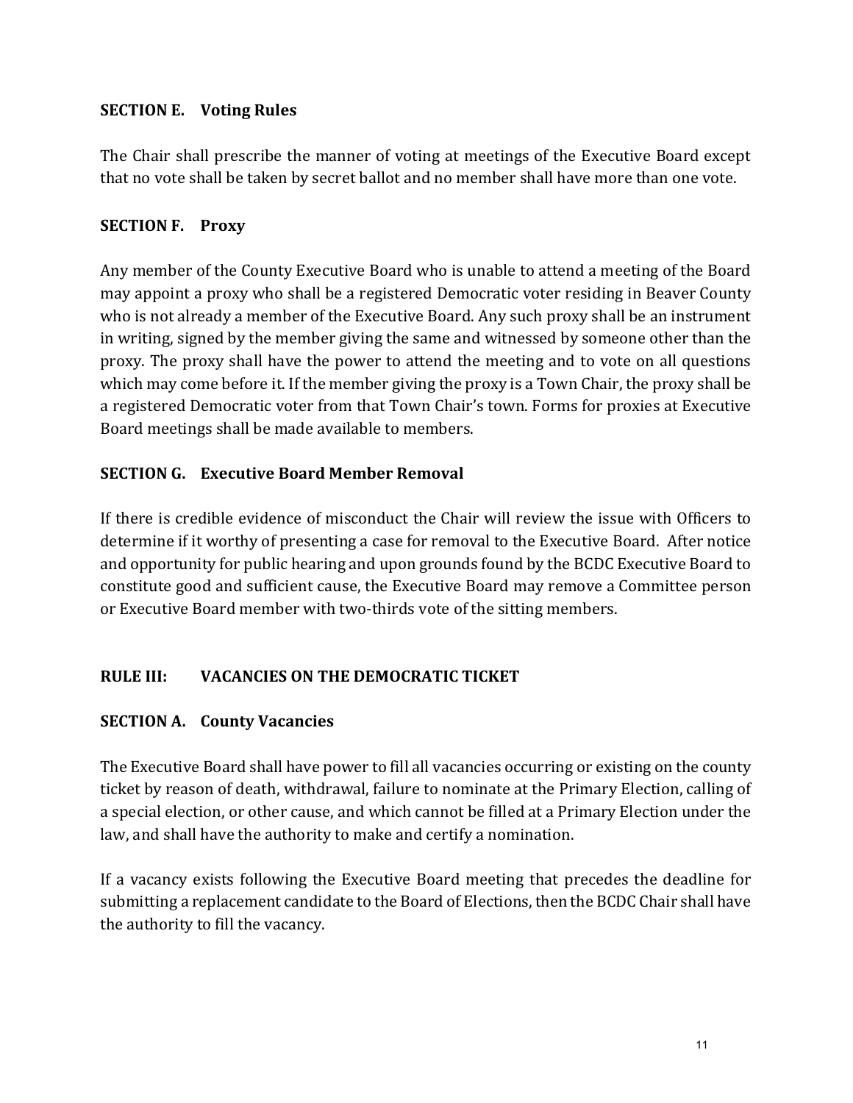## SECTION E. Voting Rules

The Chair shall prescribe the manner of voting at meetings of the Executive Board except that no vote shall be taken by secret ballot and no member shall have more than one vote.

## SECTION F. Proxy

Any member of the County Executive Board who is unable to attend a meeting of the Board may appoint a proxy who shall be a registered Democratic voter residing in Beaver County who is not already a member of the Executive Board. Any such proxy shall be an instrument in writing, signed by the member giving the same and witnessed by someone other than the proxy. The proxy shall have the power to attend the meeting and to vote on all questions which may come before it. If the member giving the proxy is a Town Chair, the proxy shall be a registered Democratic voter from that Town Chair's town. Forms for proxies at Executive Board meetings shall be made available to members.

## SECTION G. Executive Board Member Removal

If there is credible evidence of misconduct the Chair will review the issue with Officers to determine if it worthy of presenting a case for removal to the Executive Board. After notice and opportunity for public hearing and upon grounds found by the BCDC Executive Board to constitute good and sufficient cause, the Executive Board may remove a Committee person or Executive Board member with two-thirds vote of the sitting members.

# RULE III: VACANCIES ON THE DEMOCRATIC TICKET

# SECTION A. County Vacancies

The Executive Board shall have power to fill all vacancies occurring or existing on the county ticket by reason of death, withdrawal, failure to nominate at the Primary Election, calling of a special election, or other cause, and which cannot be filled at a Primary Election under the law, and shall have the authority to make and certify a nomination.

If a vacancy exists following the Executive Board meeting that precedes the deadline for submitting a replacement candidate to the Board of Elections, then the BCDC Chair shall have the authority to fill the vacancy.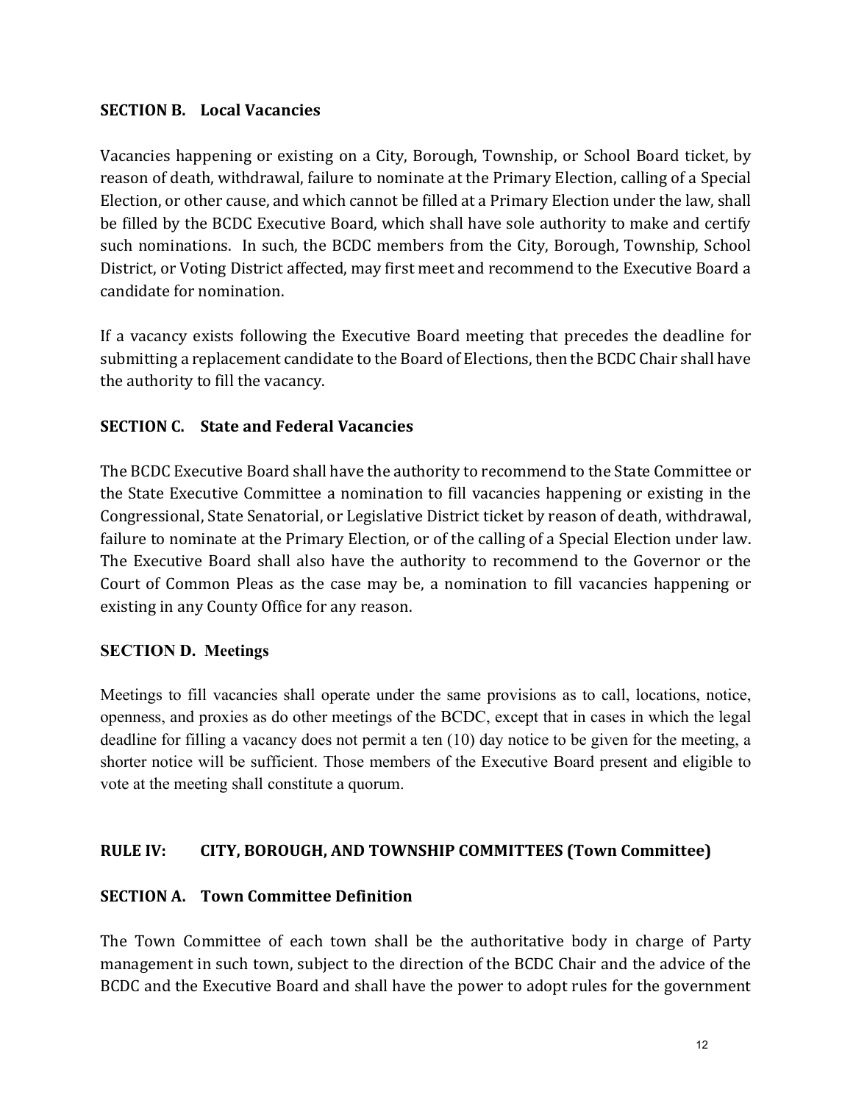#### SECTION B. Local Vacancies

Vacancies happening or existing on a City, Borough, Township, or School Board ticket, by reason of death, withdrawal, failure to nominate at the Primary Election, calling of a Special Election, or other cause, and which cannot be filled at a Primary Election under the law, shall be filled by the BCDC Executive Board, which shall have sole authority to make and certify such nominations. In such, the BCDC members from the City, Borough, Township, School District, or Voting District affected, may first meet and recommend to the Executive Board a candidate for nomination.

If a vacancy exists following the Executive Board meeting that precedes the deadline for submitting a replacement candidate to the Board of Elections, then the BCDC Chair shall have the authority to fill the vacancy.

## SECTION C. State and Federal Vacancies

The BCDC Executive Board shall have the authority to recommend to the State Committee or the State Executive Committee a nomination to fill vacancies happening or existing in the Congressional, State Senatorial, or Legislative District ticket by reason of death, withdrawal, failure to nominate at the Primary Election, or of the calling of a Special Election under law. The Executive Board shall also have the authority to recommend to the Governor or the Court of Common Pleas as the case may be, a nomination to fill vacancies happening or existing in any County Office for any reason.

## SECTION D. Meetings

Meetings to fill vacancies shall operate under the same provisions as to call, locations, notice, openness, and proxies as do other meetings of the BCDC, except that in cases in which the legal deadline for filling a vacancy does not permit a ten (10) day notice to be given for the meeting, a shorter notice will be sufficient. Those members of the Executive Board present and eligible to vote at the meeting shall constitute a quorum.

## RULE IV: CITY, BOROUGH, AND TOWNSHIP COMMITTEES (Town Committee)

## SECTION A. Town Committee Definition

The Town Committee of each town shall be the authoritative body in charge of Party management in such town, subject to the direction of the BCDC Chair and the advice of the BCDC and the Executive Board and shall have the power to adopt rules for the government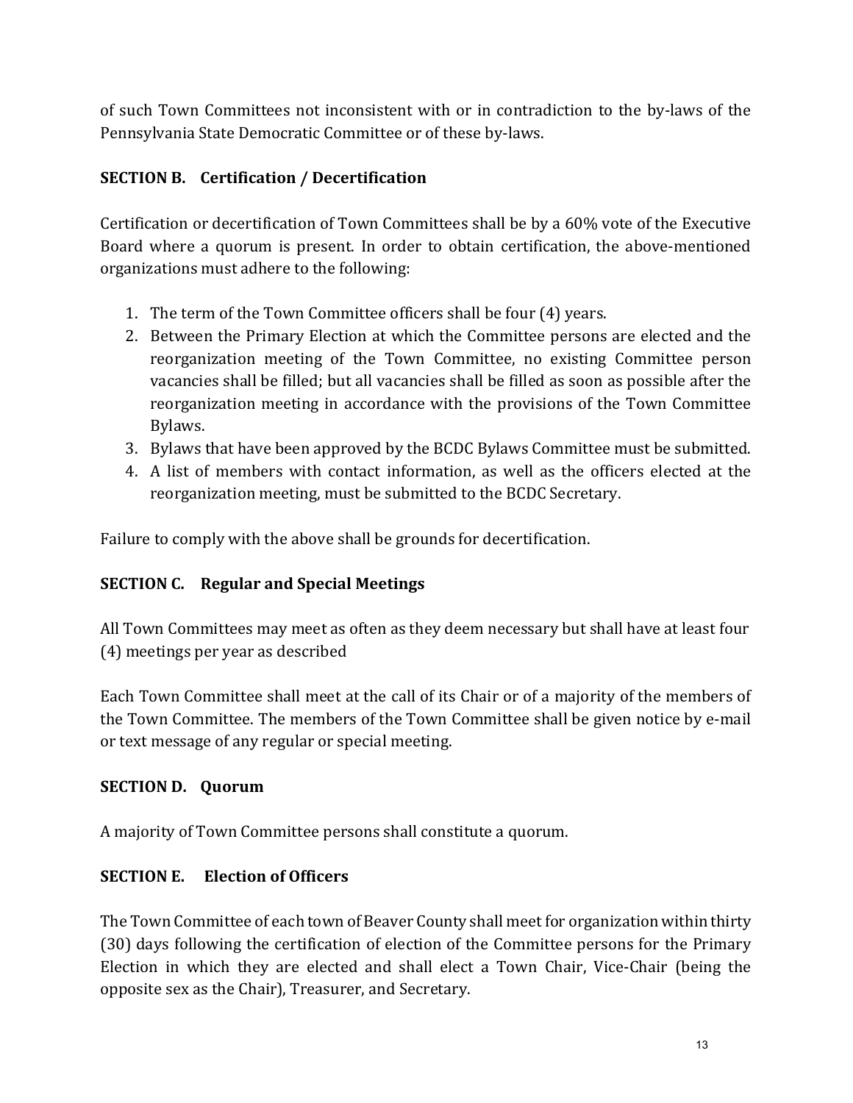of such Town Committees not inconsistent with or in contradiction to the by-laws of the Pennsylvania State Democratic Committee or of these by-laws.

## SECTION B. Certification / Decertification

Certification or decertification of Town Committees shall be by a 60% vote of the Executive Board where a quorum is present. In order to obtain certification, the above-mentioned organizations must adhere to the following:

- 1. The term of the Town Committee officers shall be four (4) years.
- 2. Between the Primary Election at which the Committee persons are elected and the reorganization meeting of the Town Committee, no existing Committee person vacancies shall be filled; but all vacancies shall be filled as soon as possible after the reorganization meeting in accordance with the provisions of the Town Committee Bylaws.
- 3. Bylaws that have been approved by the BCDC Bylaws Committee must be submitted.
- 4. A list of members with contact information, as well as the officers elected at the reorganization meeting, must be submitted to the BCDC Secretary.

Failure to comply with the above shall be grounds for decertification.

## SECTION C. Regular and Special Meetings

All Town Committees may meet as often as they deem necessary but shall have at least four (4) meetings per year as described

Each Town Committee shall meet at the call of its Chair or of a majority of the members of the Town Committee. The members of the Town Committee shall be given notice by e-mail or text message of any regular or special meeting.

## SECTION D. Quorum

A majority of Town Committee persons shall constitute a quorum.

## SECTION E. Election of Officers

The Town Committee of each town of Beaver County shall meet for organization within thirty (30) days following the certification of election of the Committee persons for the Primary Election in which they are elected and shall elect a Town Chair, Vice-Chair (being the opposite sex as the Chair), Treasurer, and Secretary.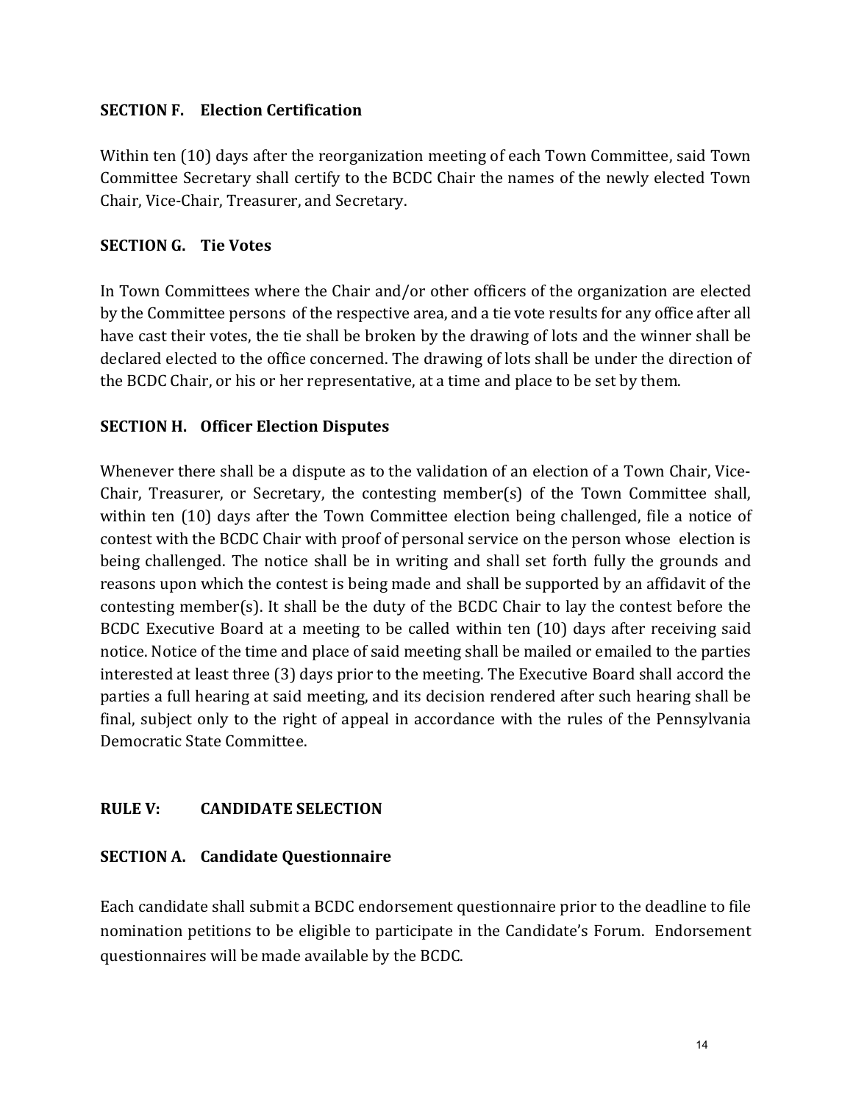#### SECTION F. Election Certification

Within ten (10) days after the reorganization meeting of each Town Committee, said Town Committee Secretary shall certify to the BCDC Chair the names of the newly elected Town Chair, Vice-Chair, Treasurer, and Secretary.

#### SECTION G. Tie Votes

In Town Committees where the Chair and/or other officers of the organization are elected by the Committee persons of the respective area, and a tie vote results for any office after all have cast their votes, the tie shall be broken by the drawing of lots and the winner shall be declared elected to the office concerned. The drawing of lots shall be under the direction of the BCDC Chair, or his or her representative, at a time and place to be set by them.

#### SECTION H. Officer Election Disputes

Whenever there shall be a dispute as to the validation of an election of a Town Chair, Vice-Chair, Treasurer, or Secretary, the contesting member(s) of the Town Committee shall, within ten (10) days after the Town Committee election being challenged, file a notice of contest with the BCDC Chair with proof of personal service on the person whose election is being challenged. The notice shall be in writing and shall set forth fully the grounds and reasons upon which the contest is being made and shall be supported by an affidavit of the contesting member(s). It shall be the duty of the BCDC Chair to lay the contest before the BCDC Executive Board at a meeting to be called within ten (10) days after receiving said notice. Notice of the time and place of said meeting shall be mailed or emailed to the parties interested at least three (3) days prior to the meeting. The Executive Board shall accord the parties a full hearing at said meeting, and its decision rendered after such hearing shall be final, subject only to the right of appeal in accordance with the rules of the Pennsylvania Democratic State Committee.

## RULE V: CANDIDATE SELECTION

#### SECTION A. Candidate Questionnaire

Each candidate shall submit a BCDC endorsement questionnaire prior to the deadline to file nomination petitions to be eligible to participate in the Candidate's Forum. Endorsement questionnaires will be made available by the BCDC.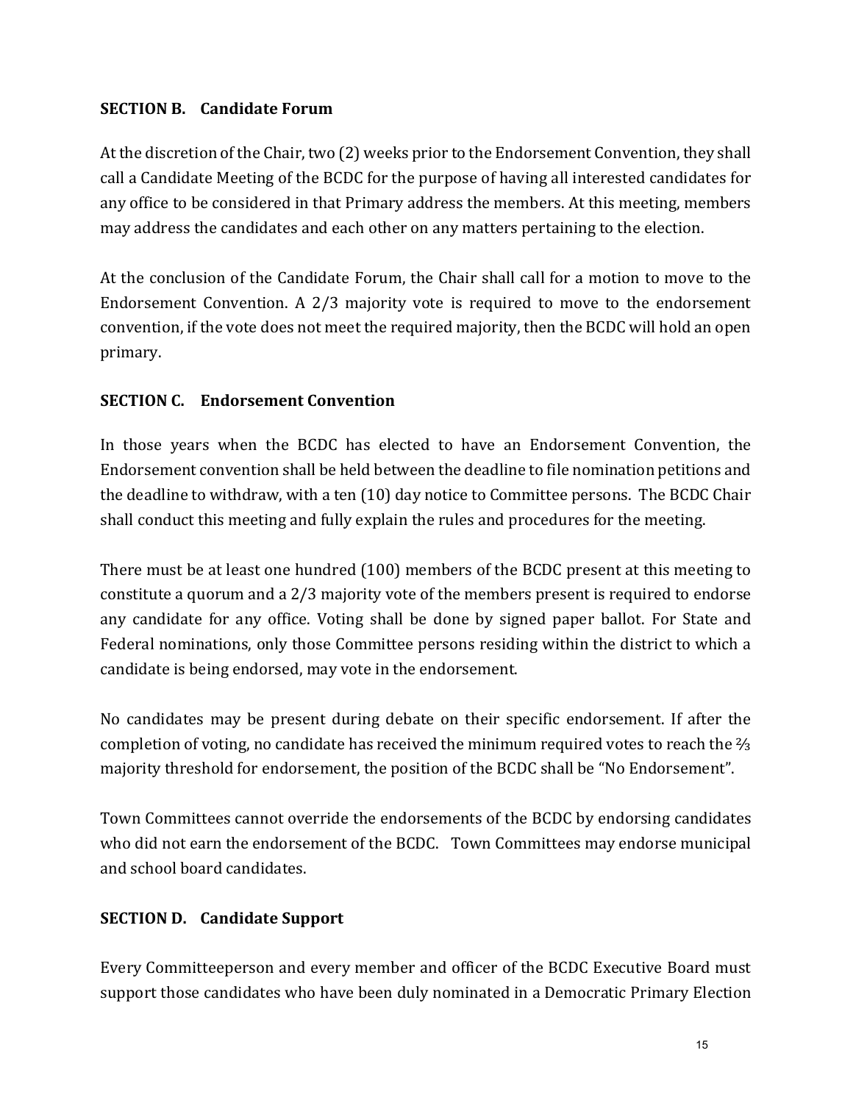#### SECTION B. Candidate Forum

At the discretion of the Chair, two (2) weeks prior to the Endorsement Convention, they shall call a Candidate Meeting of the BCDC for the purpose of having all interested candidates for any office to be considered in that Primary address the members. At this meeting, members may address the candidates and each other on any matters pertaining to the election.

At the conclusion of the Candidate Forum, the Chair shall call for a motion to move to the Endorsement Convention. A 2/3 majority vote is required to move to the endorsement convention, if the vote does not meet the required majority, then the BCDC will hold an open primary.

## SECTION C. Endorsement Convention

In those years when the BCDC has elected to have an Endorsement Convention, the Endorsement convention shall be held between the deadline to file nomination petitions and the deadline to withdraw, with a ten (10) day notice to Committee persons. The BCDC Chair shall conduct this meeting and fully explain the rules and procedures for the meeting.

There must be at least one hundred (100) members of the BCDC present at this meeting to constitute a quorum and a 2/3 majority vote of the members present is required to endorse any candidate for any office. Voting shall be done by signed paper ballot. For State and Federal nominations, only those Committee persons residing within the district to which a candidate is being endorsed, may vote in the endorsement.

No candidates may be present during debate on their specific endorsement. If after the completion of voting, no candidate has received the minimum required votes to reach the ⅔ majority threshold for endorsement, the position of the BCDC shall be "No Endorsement".

Town Committees cannot override the endorsements of the BCDC by endorsing candidates who did not earn the endorsement of the BCDC. Town Committees may endorse municipal and school board candidates.

## SECTION D. Candidate Support

Every Committeeperson and every member and officer of the BCDC Executive Board must support those candidates who have been duly nominated in a Democratic Primary Election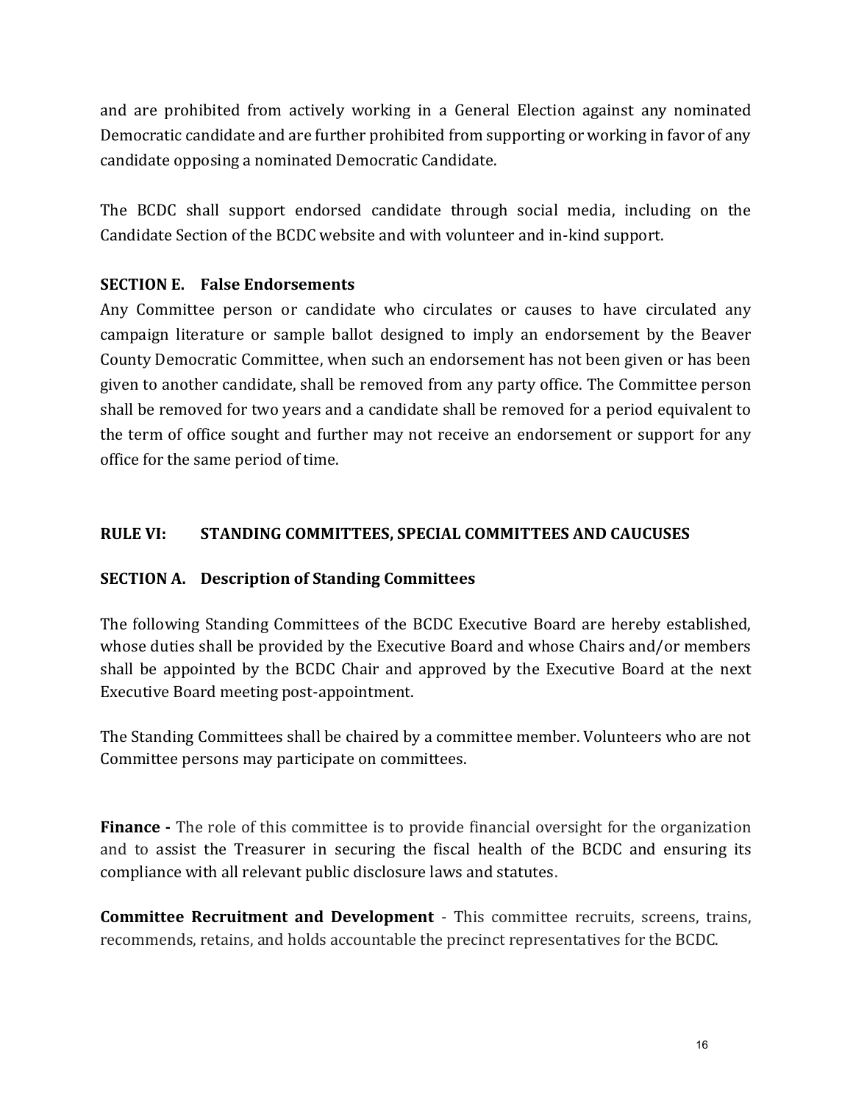and are prohibited from actively working in a General Election against any nominated Democratic candidate and are further prohibited from supporting or working in favor of any candidate opposing a nominated Democratic Candidate.

The BCDC shall support endorsed candidate through social media, including on the Candidate Section of the BCDC website and with volunteer and in-kind support.

## SECTION E. False Endorsements

Any Committee person or candidate who circulates or causes to have circulated any campaign literature or sample ballot designed to imply an endorsement by the Beaver County Democratic Committee, when such an endorsement has not been given or has been given to another candidate, shall be removed from any party office. The Committee person shall be removed for two years and a candidate shall be removed for a period equivalent to the term of office sought and further may not receive an endorsement or support for any office for the same period of time.

## RULE VI: STANDING COMMITTEES, SPECIAL COMMITTEES AND CAUCUSES

## SECTION A. Description of Standing Committees

The following Standing Committees of the BCDC Executive Board are hereby established, whose duties shall be provided by the Executive Board and whose Chairs and/or members shall be appointed by the BCDC Chair and approved by the Executive Board at the next Executive Board meeting post-appointment.

The Standing Committees shall be chaired by a committee member. Volunteers who are not Committee persons may participate on committees.

Finance - The role of this committee is to provide financial oversight for the organization and to assist the Treasurer in securing the fiscal health of the BCDC and ensuring its compliance with all relevant public disclosure laws and statutes.

Committee Recruitment and Development - This committee recruits, screens, trains, recommends, retains, and holds accountable the precinct representatives for the BCDC.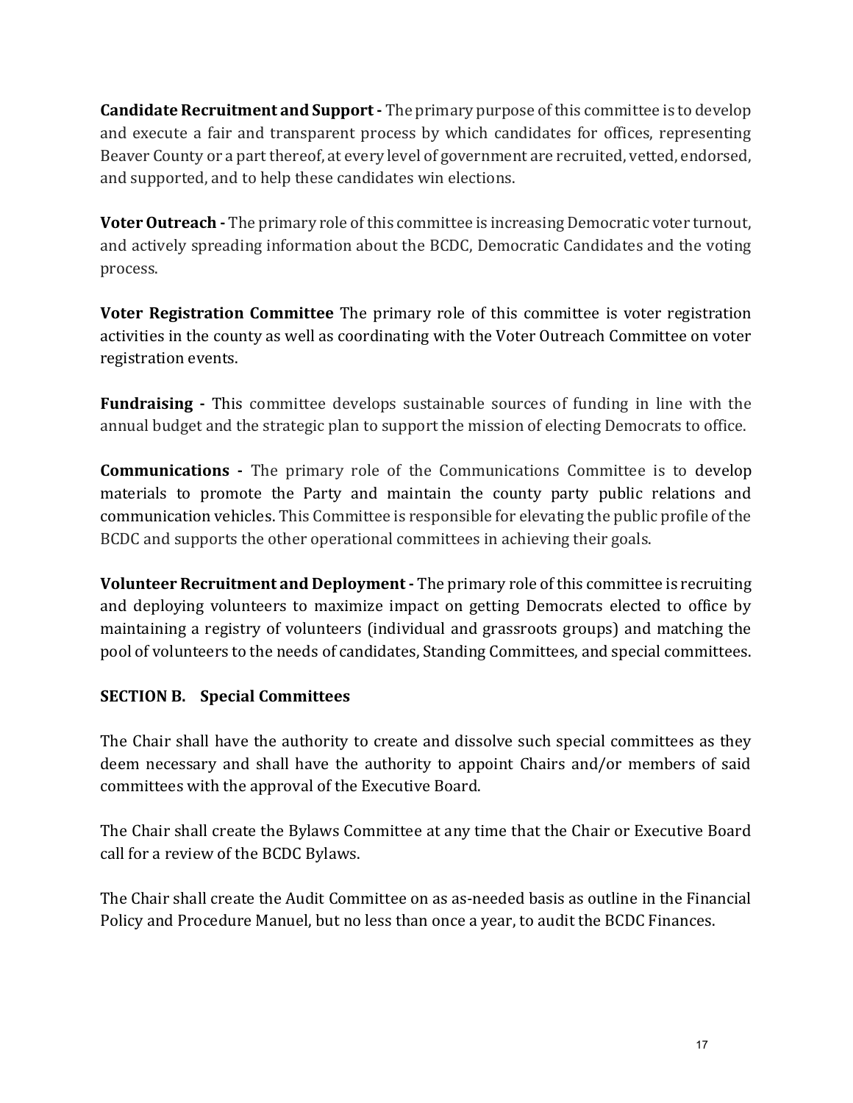Candidate Recruitment and Support - The primary purpose of this committee is to develop and execute a fair and transparent process by which candidates for offices, representing Beaver County or a part thereof, at every level of government are recruited, vetted, endorsed, and supported, and to help these candidates win elections.

**Voter Outreach** - The primary role of this committee is increasing Democratic voter turnout, and actively spreading information about the BCDC, Democratic Candidates and the voting process.

Voter Registration Committee The primary role of this committee is voter registration activities in the county as well as coordinating with the Voter Outreach Committee on voter registration events.

Fundraising - This committee develops sustainable sources of funding in line with the annual budget and the strategic plan to support the mission of electing Democrats to office.

Communications - The primary role of the Communications Committee is to develop materials to promote the Party and maintain the county party public relations and communication vehicles. This Committee is responsible for elevating the public profile of the BCDC and supports the other operational committees in achieving their goals.

Volunteer Recruitment and Deployment - The primary role of this committee is recruiting and deploying volunteers to maximize impact on getting Democrats elected to office by maintaining a registry of volunteers (individual and grassroots groups) and matching the pool of volunteers to the needs of candidates, Standing Committees, and special committees.

# SECTION B. Special Committees

The Chair shall have the authority to create and dissolve such special committees as they deem necessary and shall have the authority to appoint Chairs and/or members of said committees with the approval of the Executive Board.

The Chair shall create the Bylaws Committee at any time that the Chair or Executive Board call for a review of the BCDC Bylaws.

The Chair shall create the Audit Committee on as as-needed basis as outline in the Financial Policy and Procedure Manuel, but no less than once a year, to audit the BCDC Finances.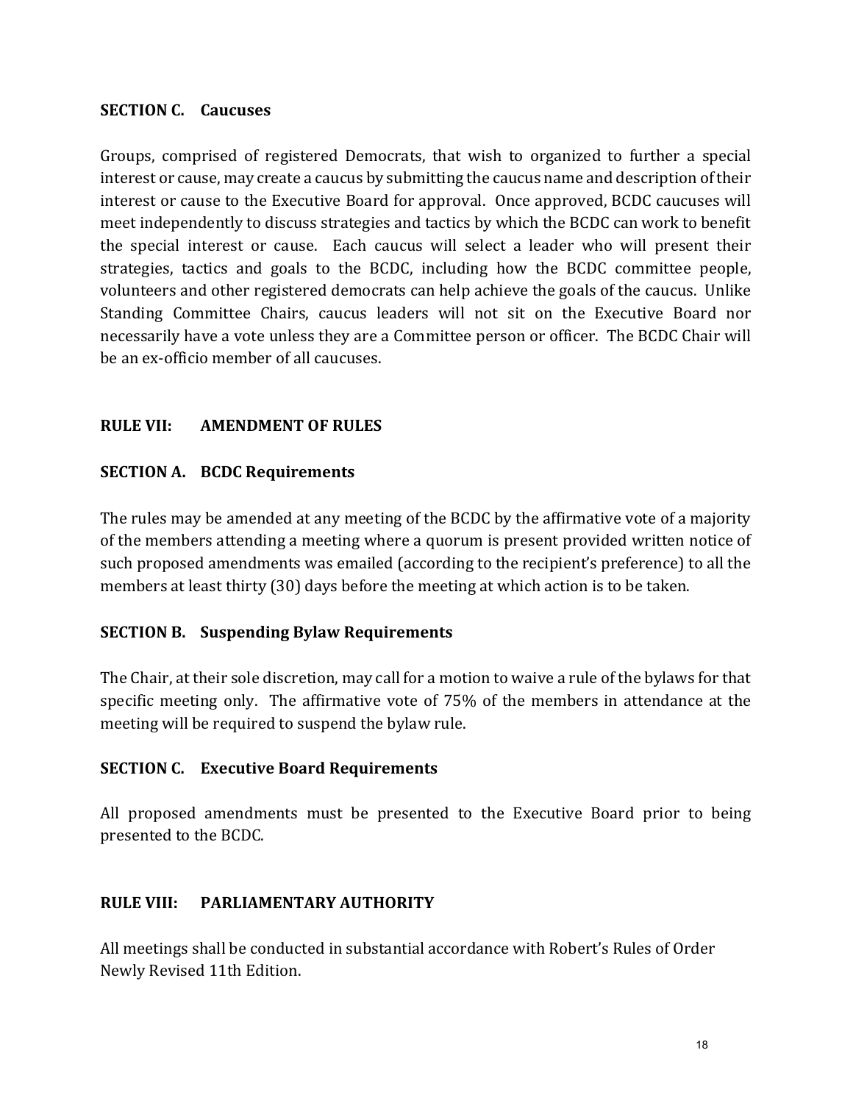#### SECTION C. Caucuses

Groups, comprised of registered Democrats, that wish to organized to further a special interest or cause, may create a caucus by submitting the caucus name and description of their interest or cause to the Executive Board for approval. Once approved, BCDC caucuses will meet independently to discuss strategies and tactics by which the BCDC can work to benefit the special interest or cause. Each caucus will select a leader who will present their strategies, tactics and goals to the BCDC, including how the BCDC committee people, volunteers and other registered democrats can help achieve the goals of the caucus. Unlike Standing Committee Chairs, caucus leaders will not sit on the Executive Board nor necessarily have a vote unless they are a Committee person or officer. The BCDC Chair will be an ex-officio member of all caucuses.

#### RULE VII: AMENDMENT OF RULES

#### SECTION A. BCDC Requirements

The rules may be amended at any meeting of the BCDC by the affirmative vote of a majority of the members attending a meeting where a quorum is present provided written notice of such proposed amendments was emailed (according to the recipient's preference) to all the members at least thirty (30) days before the meeting at which action is to be taken.

#### SECTION B. Suspending Bylaw Requirements

The Chair, at their sole discretion, may call for a motion to waive a rule of the bylaws for that specific meeting only. The affirmative vote of 75% of the members in attendance at the meeting will be required to suspend the bylaw rule.

#### SECTION C. Executive Board Requirements

All proposed amendments must be presented to the Executive Board prior to being presented to the BCDC.

## RULE VIII: PARLIAMENTARY AUTHORITY

All meetings shall be conducted in substantial accordance with Robert's Rules of Order Newly Revised 11th Edition.